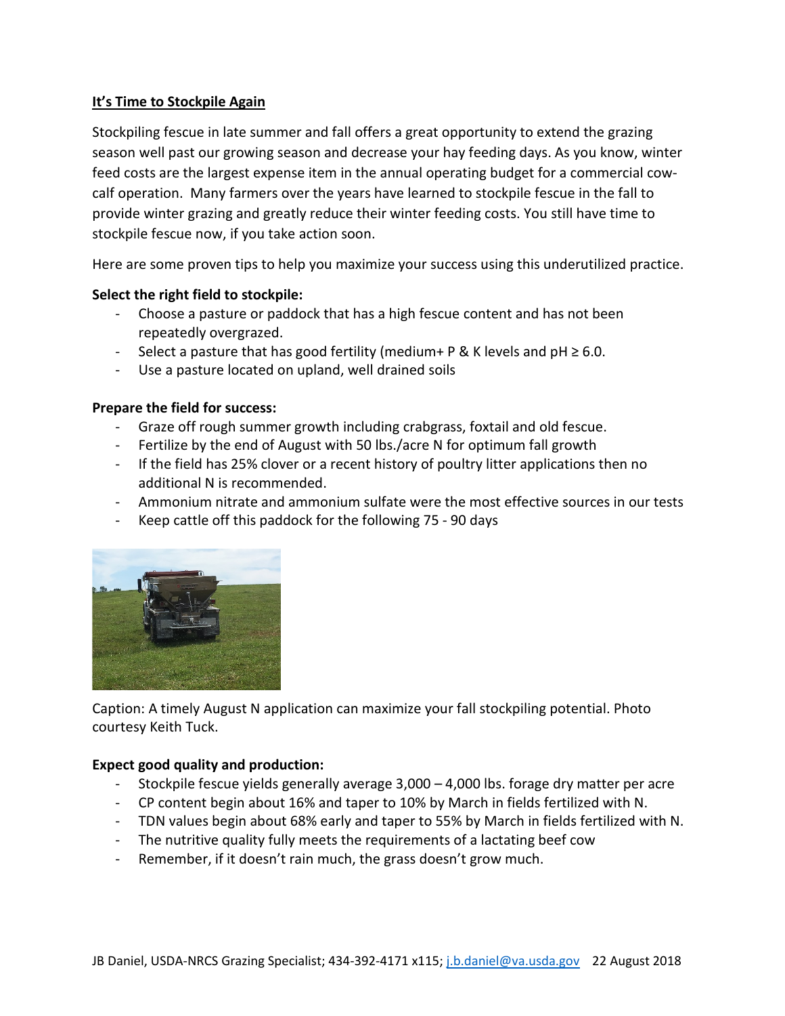# **It's Time to Stockpile Again**

Stockpiling fescue in late summer and fall offers a great opportunity to extend the grazing season well past our growing season and decrease your hay feeding days. As you know, winter feed costs are the largest expense item in the annual operating budget for a commercial cowcalf operation. Many farmers over the years have learned to stockpile fescue in the fall to provide winter grazing and greatly reduce their winter feeding costs. You still have time to stockpile fescue now, if you take action soon.

Here are some proven tips to help you maximize your success using this underutilized practice.

### **Select the right field to stockpile:**

- Choose a pasture or paddock that has a high fescue content and has not been repeatedly overgrazed.
- Select a pasture that has good fertility (medium + P & K levels and  $pH ≥ 6.0$ .
- Use a pasture located on upland, well drained soils

### **Prepare the field for success:**

- Graze off rough summer growth including crabgrass, foxtail and old fescue.
- Fertilize by the end of August with 50 lbs./acre N for optimum fall growth
- If the field has 25% clover or a recent history of poultry litter applications then no additional N is recommended.
- Ammonium nitrate and ammonium sulfate were the most effective sources in our tests
- Keep cattle off this paddock for the following 75 90 days



Caption: A timely August N application can maximize your fall stockpiling potential. Photo courtesy Keith Tuck.

### **Expect good quality and production:**

- Stockpile fescue yields generally average 3,000 4,000 lbs. forage dry matter per acre
- CP content begin about 16% and taper to 10% by March in fields fertilized with N.
- TDN values begin about 68% early and taper to 55% by March in fields fertilized with N.
- The nutritive quality fully meets the requirements of a lactating beef cow
- Remember, if it doesn't rain much, the grass doesn't grow much.